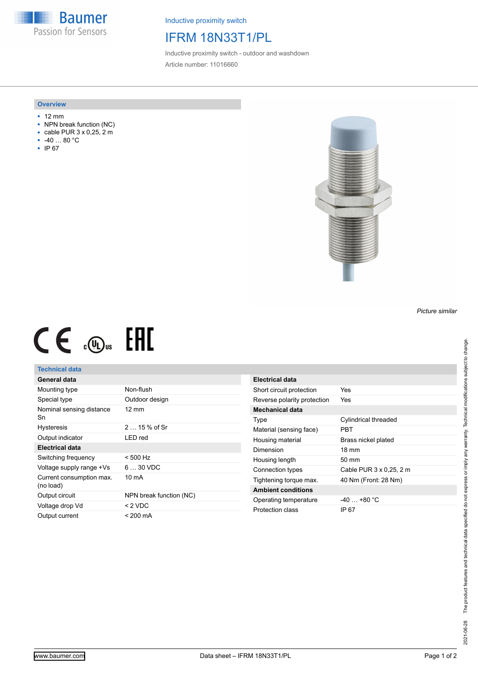**Baumer** Passion for Sensors

Inductive proximity switch

## IFRM 18N33T1/PL

Inductive proximity switch - outdoor and washdown Article number: 11016660

#### **Overview**

- 12 mm
- NPN break function (NC)
- cable PUR 3 x 0,25, 2 m
- -40 … 80 °C
- IP 67



# $CE \oplus E$

#### **Technical data**

### **General data**

| Mounting type                         | Non-flush               |
|---------------------------------------|-------------------------|
| Special type                          | Outdoor design          |
| Nominal sensing distance<br>Sn        | $12 \text{ mm}$         |
| <b>Hysteresis</b>                     | $215%$ of Sr            |
| Output indicator                      | LED red                 |
| Electrical data                       |                         |
| Switching frequency                   | $< 500$ Hz              |
| Voltage supply range +Vs              | $630$ VDC               |
| Current consumption max.<br>(no load) | 10 mA                   |
| Output circuit                        | NPN break function (NC) |
| Voltage drop Vd                       | $< 2$ VDC               |
| Output current                        | < 200 mA                |

| Electrical data             |                         |
|-----------------------------|-------------------------|
| Short circuit protection    | Yes                     |
| Reverse polarity protection | Yes                     |
| Mechanical data             |                         |
| Type                        | Cylindrical threaded    |
| Material (sensing face)     | PRT                     |
| Housing material            | Brass nickel plated     |
| Dimension                   | $18 \text{ mm}$         |
| Housing length              | 50 mm                   |
| Connection types            | Cable PUR 3 x 0,25, 2 m |
| Tightening torque max.      | 40 Nm (Front: 28 Nm)    |
| <b>Ambient conditions</b>   |                         |
| Operating temperature       | $-40+80 °C$             |
| Protection class            | IP 67                   |